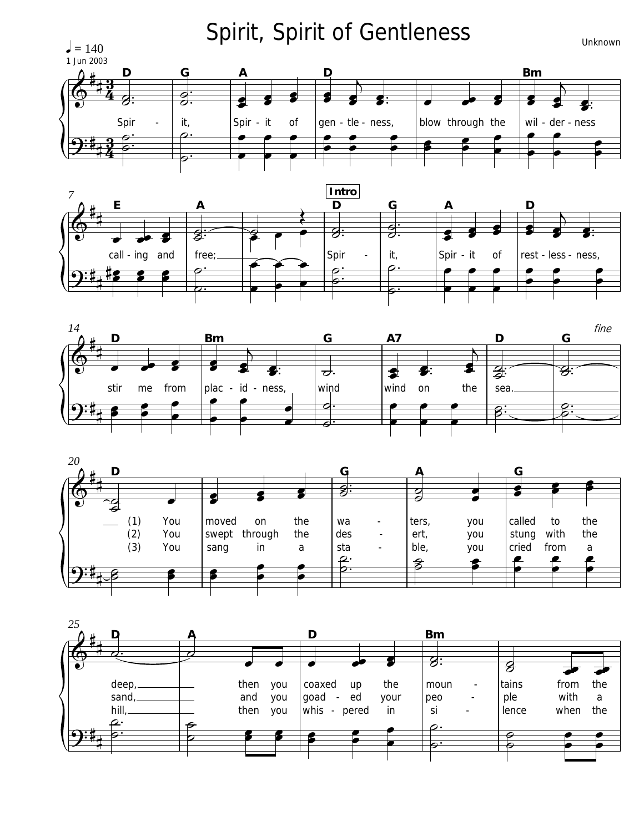